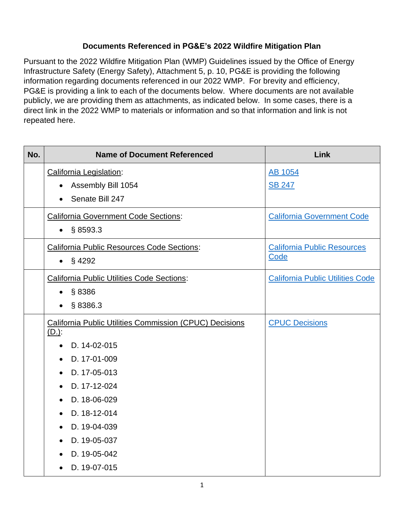## **Documents Referenced in PG&E's 2022 Wildfire Mitigation Plan**

Pursuant to the 2022 Wildfire Mitigation Plan (WMP) Guidelines issued by the Office of Energy Infrastructure Safety (Energy Safety), Attachment 5, p. 10, PG&E is providing the following information regarding documents referenced in our 2022 WMP. For brevity and efficiency, PG&E is providing a link to each of the documents below. Where documents are not available publicly, we are providing them as attachments, as indicated below. In some cases, there is a direct link in the 2022 WMP to materials or information and so that information and link is not repeated here.

| No. | <b>Name of Document Referenced</b>                                         | <b>Link</b>                             |
|-----|----------------------------------------------------------------------------|-----------------------------------------|
|     | California Legislation:                                                    | <b>AB 1054</b>                          |
|     | Assembly Bill 1054<br>$\bullet$                                            | <b>SB 247</b>                           |
|     | Senate Bill 247                                                            |                                         |
|     | <b>California Government Code Sections:</b>                                | <b>California Government Code</b>       |
|     | § 8593.3<br>$\bullet$                                                      |                                         |
|     | California Public Resources Code Sections:                                 | <b>California Public Resources</b>      |
|     | §4292<br>$\bullet$                                                         | Code                                    |
|     | <b>California Public Utilities Code Sections:</b>                          | <b>California Public Utilities Code</b> |
|     | §8386                                                                      |                                         |
|     | §8386.3                                                                    |                                         |
|     | <b>California Public Utilities Commission (CPUC) Decisions</b><br>$(D.)$ : | <b>CPUC Decisions</b>                   |
|     | D. 14-02-015<br>$\bullet$                                                  |                                         |
|     | D. 17-01-009<br>$\bullet$                                                  |                                         |
|     | D. 17-05-013                                                               |                                         |
|     | D. 17-12-024                                                               |                                         |
|     | D. 18-06-029                                                               |                                         |
|     | D. 18-12-014                                                               |                                         |
|     | D. 19-04-039                                                               |                                         |
|     | D. 19-05-037                                                               |                                         |
|     | D. 19-05-042                                                               |                                         |
|     | D. 19-07-015                                                               |                                         |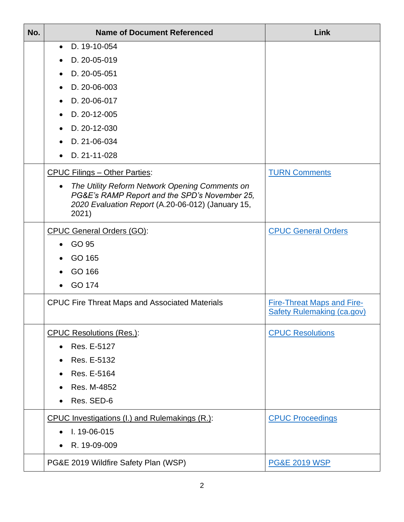| No. | <b>Name of Document Referenced</b>                                                                                                                                         | Link                                                                   |
|-----|----------------------------------------------------------------------------------------------------------------------------------------------------------------------------|------------------------------------------------------------------------|
|     | D. 19-10-054<br>$\bullet$                                                                                                                                                  |                                                                        |
|     | D. 20-05-019                                                                                                                                                               |                                                                        |
|     | D. 20-05-051                                                                                                                                                               |                                                                        |
|     | D. 20-06-003                                                                                                                                                               |                                                                        |
|     | D. 20-06-017                                                                                                                                                               |                                                                        |
|     | D. 20-12-005                                                                                                                                                               |                                                                        |
|     | D. 20-12-030                                                                                                                                                               |                                                                        |
|     | D. 21-06-034                                                                                                                                                               |                                                                        |
|     | D. 21-11-028                                                                                                                                                               |                                                                        |
|     | <b>CPUC Filings - Other Parties:</b>                                                                                                                                       | <b>TURN Comments</b>                                                   |
|     | The Utility Reform Network Opening Comments on<br>$\bullet$<br>PG&E's RAMP Report and the SPD's November 25,<br>2020 Evaluation Report (A.20-06-012) (January 15,<br>2021) |                                                                        |
|     | <b>CPUC General Orders (GO):</b>                                                                                                                                           | <b>CPUC General Orders</b>                                             |
|     | GO 95                                                                                                                                                                      |                                                                        |
|     | GO 165                                                                                                                                                                     |                                                                        |
|     | GO 166                                                                                                                                                                     |                                                                        |
|     | GO 174                                                                                                                                                                     |                                                                        |
|     | <b>CPUC Fire Threat Maps and Associated Materials</b>                                                                                                                      | <b>Fire-Threat Maps and Fire-</b><br><b>Safety Rulemaking (ca.gov)</b> |
|     | <b>CPUC Resolutions (Res.):</b>                                                                                                                                            | <b>CPUC Resolutions</b>                                                |
|     | Res. E-5127                                                                                                                                                                |                                                                        |
|     | Res. E-5132                                                                                                                                                                |                                                                        |
|     | Res. E-5164                                                                                                                                                                |                                                                        |
|     | Res. M-4852                                                                                                                                                                |                                                                        |
|     | Res. SED-6                                                                                                                                                                 |                                                                        |
|     | CPUC Investigations (I.) and Rulemakings (R.):                                                                                                                             | <b>CPUC Proceedings</b>                                                |
|     | I. 19-06-015<br>$\bullet$                                                                                                                                                  |                                                                        |
|     | R. 19-09-009                                                                                                                                                               |                                                                        |
|     | PG&E 2019 Wildfire Safety Plan (WSP)                                                                                                                                       | <b>PG&amp;E 2019 WSP</b>                                               |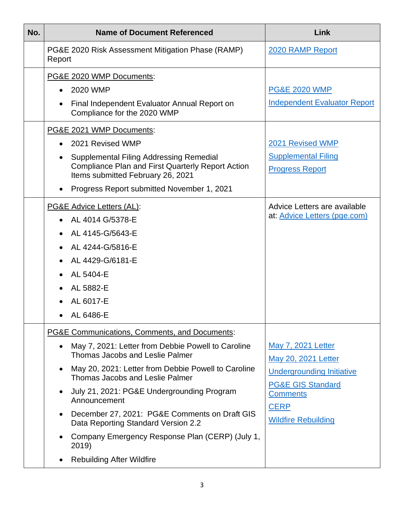| No. | <b>Name of Document Referenced</b>                                                                                                                                                                                                                                                                                                                                                                                                                                                                                    | Link                                                                                                                                                                                 |
|-----|-----------------------------------------------------------------------------------------------------------------------------------------------------------------------------------------------------------------------------------------------------------------------------------------------------------------------------------------------------------------------------------------------------------------------------------------------------------------------------------------------------------------------|--------------------------------------------------------------------------------------------------------------------------------------------------------------------------------------|
|     | PG&E 2020 Risk Assessment Mitigation Phase (RAMP)<br>Report                                                                                                                                                                                                                                                                                                                                                                                                                                                           | 2020 RAMP Report                                                                                                                                                                     |
|     | PG&E 2020 WMP Documents:<br>2020 WMP<br>Final Independent Evaluator Annual Report on<br>Compliance for the 2020 WMP                                                                                                                                                                                                                                                                                                                                                                                                   | <b>PG&amp;E 2020 WMP</b><br><b>Independent Evaluator Report</b>                                                                                                                      |
|     | PG&E 2021 WMP Documents:<br>2021 Revised WMP<br>Supplemental Filing Addressing Remedial<br><b>Compliance Plan and First Quarterly Report Action</b><br>Items submitted February 26, 2021<br>Progress Report submitted November 1, 2021                                                                                                                                                                                                                                                                                | 2021 Revised WMP<br><b>Supplemental Filing</b><br><b>Progress Report</b>                                                                                                             |
|     | PG&E Advice Letters (AL):<br>AL 4014 G/5378-E<br>AL 4145-G/5643-E<br>AL 4244-G/5816-E<br>AL 4429-G/6181-E<br>AL 5404-E<br>AL 5882-E<br>AL 6017-E<br>AL 6486-E                                                                                                                                                                                                                                                                                                                                                         | Advice Letters are available<br>at: <b>Advice Letters</b> (pge.com)                                                                                                                  |
|     | <b>PG&amp;E Communications, Comments, and Documents:</b><br>May 7, 2021: Letter from Debbie Powell to Caroline<br>$\bullet$<br><b>Thomas Jacobs and Leslie Palmer</b><br>May 20, 2021: Letter from Debbie Powell to Caroline<br>Thomas Jacobs and Leslie Palmer<br>July 21, 2021: PG&E Undergrounding Program<br>Announcement<br>December 27, 2021: PG&E Comments on Draft GIS<br>Data Reporting Standard Version 2.2<br>Company Emergency Response Plan (CERP) (July 1,<br>2019)<br><b>Rebuilding After Wildfire</b> | <b>May 7, 2021 Letter</b><br>May 20, 2021 Letter<br><b>Undergrounding Initiative</b><br><b>PG&amp;E GIS Standard</b><br><b>Comments</b><br><b>CERP</b><br><b>Wildfire Rebuilding</b> |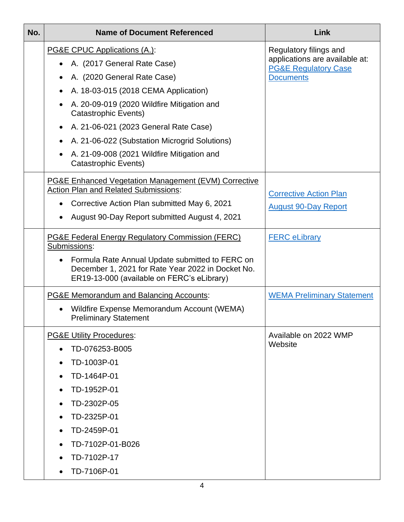| No. | <b>Name of Document Referenced</b>                                                                                                                                                                                                                                                                                                                                                           | <b>Link</b>                                                                                                     |
|-----|----------------------------------------------------------------------------------------------------------------------------------------------------------------------------------------------------------------------------------------------------------------------------------------------------------------------------------------------------------------------------------------------|-----------------------------------------------------------------------------------------------------------------|
|     | PG&E CPUC Applications (A.):<br>A. (2017 General Rate Case)<br>A. (2020 General Rate Case)<br>A. 18-03-015 (2018 CEMA Application)<br>A. 20-09-019 (2020 Wildfire Mitigation and<br><b>Catastrophic Events)</b><br>A. 21-06-021 (2023 General Rate Case)<br>A. 21-06-022 (Substation Microgrid Solutions)<br>A. 21-09-008 (2021 Wildfire Mitigation and<br>$\bullet$<br>Catastrophic Events) | Regulatory filings and<br>applications are available at:<br><b>PG&amp;E Regulatory Case</b><br><b>Documents</b> |
|     | <b>PG&amp;E Enhanced Vegetation Management (EVM) Corrective</b><br><b>Action Plan and Related Submissions:</b><br>Corrective Action Plan submitted May 6, 2021<br>August 90-Day Report submitted August 4, 2021                                                                                                                                                                              | <b>Corrective Action Plan</b><br><b>August 90-Day Report</b>                                                    |
|     | PG&E Federal Energy Regulatory Commission (FERC)<br>Submissions:<br>Formula Rate Annual Update submitted to FERC on<br>$\bullet$<br>December 1, 2021 for Rate Year 2022 in Docket No.<br>ER19-13-000 (available on FERC's eLibrary)                                                                                                                                                          | <b>FERC eLibrary</b>                                                                                            |
|     | <b>PG&amp;E Memorandum and Balancing Accounts:</b><br>Wildfire Expense Memorandum Account (WEMA)<br><b>Preliminary Statement</b>                                                                                                                                                                                                                                                             | <b>WEMA Preliminary Statement</b>                                                                               |
|     | <b>PG&amp;E Utility Procedures:</b><br>TD-076253-B005<br>TD-1003P-01<br>TD-1464P-01<br>TD-1952P-01<br>TD-2302P-05<br>TD-2325P-01<br>TD-2459P-01<br>TD-7102P-01-B026<br>TD-7102P-17<br>TD-7106P-01                                                                                                                                                                                            | Available on 2022 WMP<br>Website                                                                                |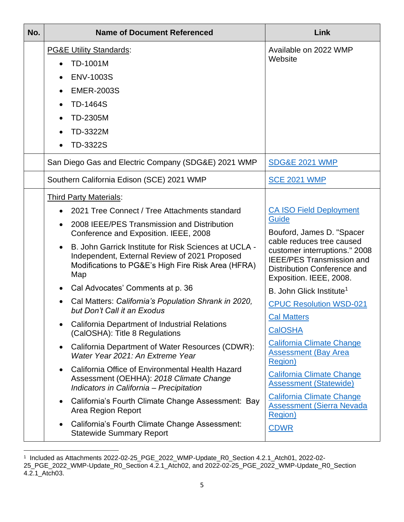| No. | <b>Name of Document Referenced</b>                                                                                                                                                                                                                                                                                                                                                                                                                                                                                                                                                                                                                                                                                                                                                                                                                                                                                                                                           | <b>Link</b>                                                                                                                                                                                                                                                                                                                                                                                                                                                                                                                                                                                                      |
|-----|------------------------------------------------------------------------------------------------------------------------------------------------------------------------------------------------------------------------------------------------------------------------------------------------------------------------------------------------------------------------------------------------------------------------------------------------------------------------------------------------------------------------------------------------------------------------------------------------------------------------------------------------------------------------------------------------------------------------------------------------------------------------------------------------------------------------------------------------------------------------------------------------------------------------------------------------------------------------------|------------------------------------------------------------------------------------------------------------------------------------------------------------------------------------------------------------------------------------------------------------------------------------------------------------------------------------------------------------------------------------------------------------------------------------------------------------------------------------------------------------------------------------------------------------------------------------------------------------------|
|     | <b>PG&amp;E Utility Standards:</b><br>TD-1001M<br><b>ENV-1003S</b><br><b>EMER-2003S</b><br><b>TD-1464S</b><br><b>TD-2305M</b><br>TD-3322M<br>TD-3322S                                                                                                                                                                                                                                                                                                                                                                                                                                                                                                                                                                                                                                                                                                                                                                                                                        | Available on 2022 WMP<br>Website                                                                                                                                                                                                                                                                                                                                                                                                                                                                                                                                                                                 |
|     | San Diego Gas and Electric Company (SDG&E) 2021 WMP                                                                                                                                                                                                                                                                                                                                                                                                                                                                                                                                                                                                                                                                                                                                                                                                                                                                                                                          | <b>SDG&amp;E 2021 WMP</b>                                                                                                                                                                                                                                                                                                                                                                                                                                                                                                                                                                                        |
|     | Southern California Edison (SCE) 2021 WMP                                                                                                                                                                                                                                                                                                                                                                                                                                                                                                                                                                                                                                                                                                                                                                                                                                                                                                                                    | <b>SCE 2021 WMP</b>                                                                                                                                                                                                                                                                                                                                                                                                                                                                                                                                                                                              |
|     | <b>Third Party Materials:</b><br>2021 Tree Connect / Tree Attachments standard<br>2008 IEEE/PES Transmission and Distribution<br>Conference and Exposition. IEEE, 2008<br>B. John Garrick Institute for Risk Sciences at UCLA -<br>Independent, External Review of 2021 Proposed<br>Modifications to PG&E's High Fire Risk Area (HFRA)<br>Map<br>Cal Advocates' Comments at p. 36<br>Cal Matters: California's Population Shrank in 2020,<br>but Don't Call it an Exodus<br>California Department of Industrial Relations<br>(CalOSHA): Title 8 Regulations<br>California Department of Water Resources (CDWR):<br>Water Year 2021: An Extreme Year<br>California Office of Environmental Health Hazard<br>Assessment (OEHHA): 2018 Climate Change<br>Indicators in California - Precipitation<br>California's Fourth Climate Change Assessment: Bay<br>$\bullet$<br>Area Region Report<br>California's Fourth Climate Change Assessment:<br><b>Statewide Summary Report</b> | <b>CA ISO Field Deployment</b><br>Guide<br>Bouford, James D. "Spacer<br>cable reduces tree caused<br>customer interruptions." 2008<br><b>IEEE/PES Transmission and</b><br>Distribution Conference and<br>Exposition. IEEE, 2008.<br>B. John Glick Institute <sup>1</sup><br><b>CPUC Resolution WSD-021</b><br><b>Cal Matters</b><br><b>CalOSHA</b><br><b>California Climate Change</b><br><b>Assessment (Bay Area</b><br><b>Region</b> )<br><b>California Climate Change</b><br><b>Assessment (Statewide)</b><br><b>California Climate Change</b><br><b>Assessment (Sierra Nevada)</b><br>Region)<br><b>CDWR</b> |

<sup>1</sup> Included as Attachments 2022-02-25\_PGE\_2022\_WMP-Update\_R0\_Section 4.2.1\_Atch01, 2022-02- 25\_PGE\_2022\_WMP-Update\_R0\_Section 4.2.1\_Atch02, and 2022-02-25\_PGE\_2022\_WMP-Update\_R0\_Section 4.2.1\_Atch03.